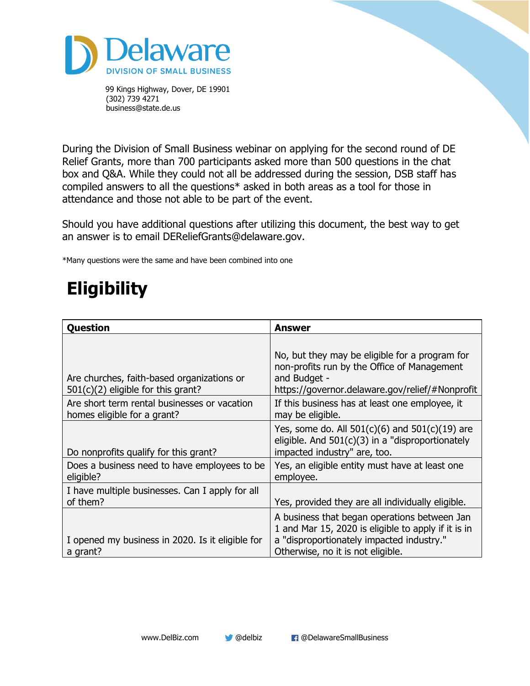

During the Division of Small Business webinar on applying for the second round of DE Relief Grants, more than 700 participants asked more than 500 questions in the chat box and Q&A. While they could not all be addressed during the session, DSB staff has compiled answers to all the questions\* asked in both areas as a tool for those in attendance and those not able to be part of the event.

Should you have additional questions after utilizing this document, the best way to get an answer is to email DEReliefGrants@delaware.gov.

\*Many questions were the same and have been combined into one

# **Eligibility**

| Question                                                                           | <b>Answer</b>                                                                                                                                                                         |
|------------------------------------------------------------------------------------|---------------------------------------------------------------------------------------------------------------------------------------------------------------------------------------|
| Are churches, faith-based organizations or<br>$501(c)(2)$ eligible for this grant? | No, but they may be eligible for a program for<br>non-profits run by the Office of Management<br>and Budget -<br>https://governor.delaware.gov/relief/#Nonprofit                      |
| Are short term rental businesses or vacation<br>homes eligible for a grant?        | If this business has at least one employee, it<br>may be eligible.                                                                                                                    |
| Do nonprofits qualify for this grant?                                              | Yes, some do. All $501(c)(6)$ and $501(c)(19)$ are<br>eligible. And $501(c)(3)$ in a "disproportionately<br>impacted industry" are, too.                                              |
| Does a business need to have employees to be<br>eligible?                          | Yes, an eligible entity must have at least one<br>employee.                                                                                                                           |
| I have multiple businesses. Can I apply for all<br>of them?                        | Yes, provided they are all individually eligible.                                                                                                                                     |
| I opened my business in 2020. Is it eligible for<br>a grant?                       | A business that began operations between Jan<br>1 and Mar 15, 2020 is eligible to apply if it is in<br>a "disproportionately impacted industry."<br>Otherwise, no it is not eligible. |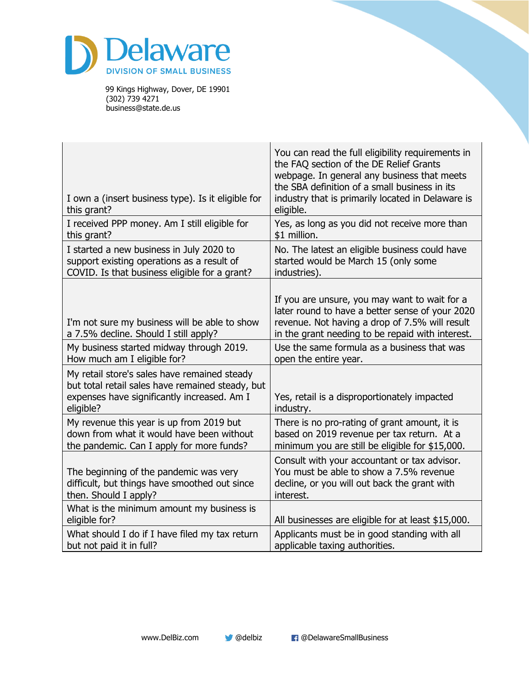

| I own a (insert business type). Is it eligible for<br>this grant?                                                                                            | You can read the full eligibility requirements in<br>the FAQ section of the DE Relief Grants<br>webpage. In general any business that meets<br>the SBA definition of a small business in its<br>industry that is primarily located in Delaware is<br>eligible. |
|--------------------------------------------------------------------------------------------------------------------------------------------------------------|----------------------------------------------------------------------------------------------------------------------------------------------------------------------------------------------------------------------------------------------------------------|
| I received PPP money. Am I still eligible for                                                                                                                | Yes, as long as you did not receive more than                                                                                                                                                                                                                  |
| this grant?                                                                                                                                                  | \$1 million.                                                                                                                                                                                                                                                   |
| I started a new business in July 2020 to                                                                                                                     | No. The latest an eligible business could have                                                                                                                                                                                                                 |
| support existing operations as a result of                                                                                                                   | started would be March 15 (only some                                                                                                                                                                                                                           |
| COVID. Is that business eligible for a grant?                                                                                                                | industries).                                                                                                                                                                                                                                                   |
| I'm not sure my business will be able to show<br>a 7.5% decline. Should I still apply?                                                                       | If you are unsure, you may want to wait for a<br>later round to have a better sense of your 2020<br>revenue. Not having a drop of 7.5% will result<br>in the grant needing to be repaid with interest.                                                         |
| My business started midway through 2019.                                                                                                                     | Use the same formula as a business that was                                                                                                                                                                                                                    |
| How much am I eligible for?                                                                                                                                  | open the entire year.                                                                                                                                                                                                                                          |
| My retail store's sales have remained steady<br>but total retail sales have remained steady, but<br>expenses have significantly increased. Am I<br>eligible? | Yes, retail is a disproportionately impacted<br>industry.                                                                                                                                                                                                      |
| My revenue this year is up from 2019 but                                                                                                                     | There is no pro-rating of grant amount, it is                                                                                                                                                                                                                  |
| down from what it would have been without                                                                                                                    | based on 2019 revenue per tax return. At a                                                                                                                                                                                                                     |
| the pandemic. Can I apply for more funds?                                                                                                                    | minimum you are still be eligible for \$15,000.                                                                                                                                                                                                                |
| The beginning of the pandemic was very<br>difficult, but things have smoothed out since<br>then. Should I apply?                                             | Consult with your accountant or tax advisor.<br>You must be able to show a 7.5% revenue<br>decline, or you will out back the grant with<br>interest.                                                                                                           |
| What is the minimum amount my business is<br>eligible for?                                                                                                   | All businesses are eligible for at least \$15,000.                                                                                                                                                                                                             |
| What should I do if I have filed my tax return                                                                                                               | Applicants must be in good standing with all                                                                                                                                                                                                                   |
| but not paid it in full?                                                                                                                                     | applicable taxing authorities.                                                                                                                                                                                                                                 |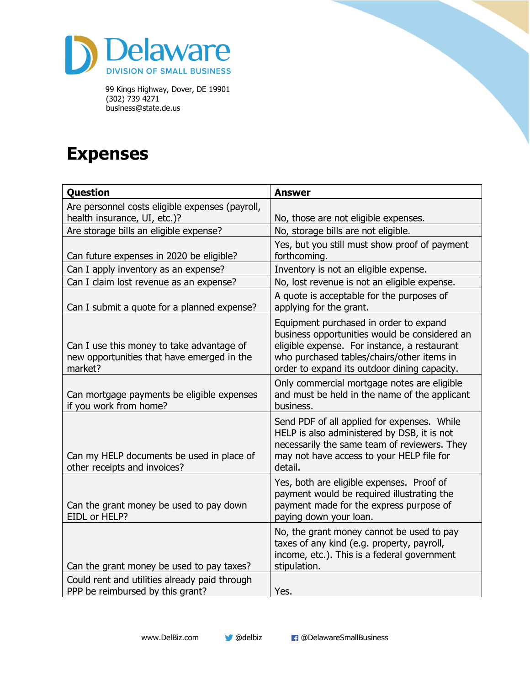

#### **Expenses**

| <b>Question</b>                                                                                    | <b>Answer</b>                                                                                                                                                                                                                         |
|----------------------------------------------------------------------------------------------------|---------------------------------------------------------------------------------------------------------------------------------------------------------------------------------------------------------------------------------------|
| Are personnel costs eligible expenses (payroll,                                                    |                                                                                                                                                                                                                                       |
| health insurance, UI, etc.)?                                                                       | No, those are not eligible expenses.                                                                                                                                                                                                  |
| Are storage bills an eligible expense?                                                             | No, storage bills are not eligible.                                                                                                                                                                                                   |
| Can future expenses in 2020 be eligible?                                                           | Yes, but you still must show proof of payment<br>forthcoming.                                                                                                                                                                         |
| Can I apply inventory as an expense?                                                               | Inventory is not an eligible expense.                                                                                                                                                                                                 |
| Can I claim lost revenue as an expense?                                                            | No, lost revenue is not an eligible expense.                                                                                                                                                                                          |
| Can I submit a quote for a planned expense?                                                        | A quote is acceptable for the purposes of<br>applying for the grant.                                                                                                                                                                  |
| Can I use this money to take advantage of<br>new opportunities that have emerged in the<br>market? | Equipment purchased in order to expand<br>business opportunities would be considered an<br>eligible expense. For instance, a restaurant<br>who purchased tables/chairs/other items in<br>order to expand its outdoor dining capacity. |
| Can mortgage payments be eligible expenses<br>if you work from home?                               | Only commercial mortgage notes are eligible<br>and must be held in the name of the applicant<br>business.                                                                                                                             |
| Can my HELP documents be used in place of<br>other receipts and invoices?                          | Send PDF of all applied for expenses. While<br>HELP is also administered by DSB, it is not<br>necessarily the same team of reviewers. They<br>may not have access to your HELP file for<br>detail.                                    |
| Can the grant money be used to pay down<br>EIDL or HELP?                                           | Yes, both are eligible expenses. Proof of<br>payment would be required illustrating the<br>payment made for the express purpose of<br>paying down your loan.                                                                          |
| Can the grant money be used to pay taxes?                                                          | No, the grant money cannot be used to pay<br>taxes of any kind (e.g. property, payroll,<br>income, etc.). This is a federal government<br>stipulation.                                                                                |
| Could rent and utilities already paid through<br>PPP be reimbursed by this grant?                  | Yes.                                                                                                                                                                                                                                  |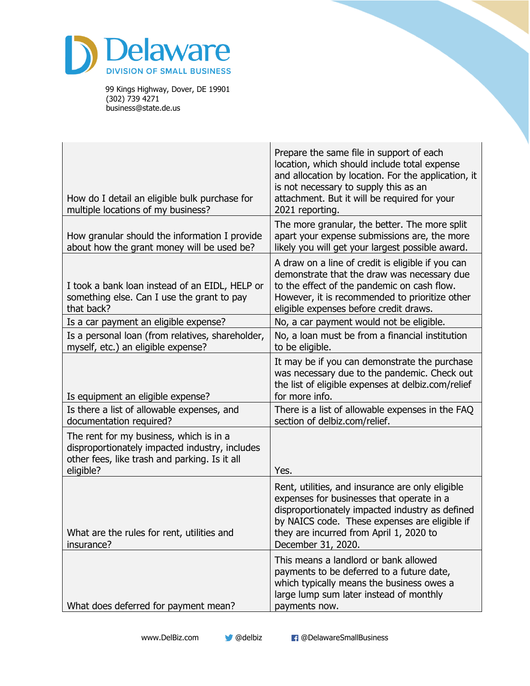

| How do I detail an eligible bulk purchase for<br>multiple locations of my business?                                                                     | Prepare the same file in support of each<br>location, which should include total expense<br>and allocation by location. For the application, it<br>is not necessary to supply this as an<br>attachment. But it will be required for your<br>2021 reporting.        |
|---------------------------------------------------------------------------------------------------------------------------------------------------------|--------------------------------------------------------------------------------------------------------------------------------------------------------------------------------------------------------------------------------------------------------------------|
| How granular should the information I provide<br>about how the grant money will be used be?                                                             | The more granular, the better. The more split<br>apart your expense submissions are, the more<br>likely you will get your largest possible award.                                                                                                                  |
| I took a bank loan instead of an EIDL, HELP or<br>something else. Can I use the grant to pay<br>that back?                                              | A draw on a line of credit is eligible if you can<br>demonstrate that the draw was necessary due<br>to the effect of the pandemic on cash flow.<br>However, it is recommended to prioritize other<br>eligible expenses before credit draws.                        |
| Is a car payment an eligible expense?                                                                                                                   | No, a car payment would not be eligible.                                                                                                                                                                                                                           |
| Is a personal loan (from relatives, shareholder,<br>myself, etc.) an eligible expense?                                                                  | No, a loan must be from a financial institution<br>to be eligible.                                                                                                                                                                                                 |
| Is equipment an eligible expense?                                                                                                                       | It may be if you can demonstrate the purchase<br>was necessary due to the pandemic. Check out<br>the list of eligible expenses at delbiz.com/relief<br>for more info.                                                                                              |
| Is there a list of allowable expenses, and<br>documentation required?                                                                                   | There is a list of allowable expenses in the FAQ<br>section of delbiz.com/relief.                                                                                                                                                                                  |
| The rent for my business, which is in a<br>disproportionately impacted industry, includes<br>other fees, like trash and parking. Is it all<br>eligible? | Yes.                                                                                                                                                                                                                                                               |
| What are the rules for rent, utilities and<br>insurance?                                                                                                | Rent, utilities, and insurance are only eligible<br>expenses for businesses that operate in a<br>disproportionately impacted industry as defined<br>by NAICS code. These expenses are eligible if<br>they are incurred from April 1, 2020 to<br>December 31, 2020. |
| What does deferred for payment mean?                                                                                                                    | This means a landlord or bank allowed<br>payments to be deferred to a future date,<br>which typically means the business owes a<br>large lump sum later instead of monthly<br>payments now.                                                                        |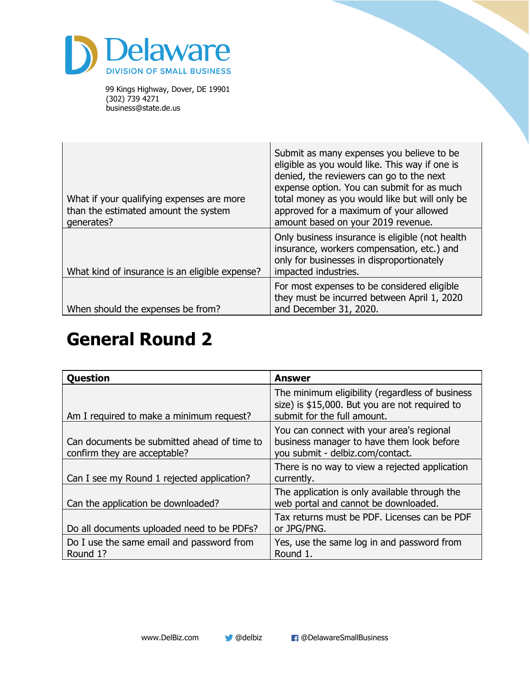

| What if your qualifying expenses are more<br>than the estimated amount the system<br>qenerates? | Submit as many expenses you believe to be<br>eligible as you would like. This way if one is<br>denied, the reviewers can go to the next<br>expense option. You can submit for as much<br>total money as you would like but will only be<br>approved for a maximum of your allowed<br>amount based on your 2019 revenue. |
|-------------------------------------------------------------------------------------------------|-------------------------------------------------------------------------------------------------------------------------------------------------------------------------------------------------------------------------------------------------------------------------------------------------------------------------|
| What kind of insurance is an eligible expense?                                                  | Only business insurance is eligible (not health<br>insurance, workers compensation, etc.) and<br>only for businesses in disproportionately<br>impacted industries.                                                                                                                                                      |
| When should the expenses be from?                                                               | For most expenses to be considered eligible<br>they must be incurred between April 1, 2020<br>and December 31, 2020.                                                                                                                                                                                                    |

#### **General Round 2**

| <b>Question</b>                                                             | <b>Answer</b>                                                                                                                    |
|-----------------------------------------------------------------------------|----------------------------------------------------------------------------------------------------------------------------------|
| Am I required to make a minimum request?                                    | The minimum eligibility (regardless of business<br>size) is \$15,000. But you are not required to<br>submit for the full amount. |
| Can documents be submitted ahead of time to<br>confirm they are acceptable? | You can connect with your area's regional<br>business manager to have them look before<br>you submit - delbiz.com/contact.       |
| Can I see my Round 1 rejected application?                                  | There is no way to view a rejected application<br>currently.                                                                     |
| Can the application be downloaded?                                          | The application is only available through the<br>web portal and cannot be downloaded.                                            |
| Do all documents uploaded need to be PDFs?                                  | Tax returns must be PDF. Licenses can be PDF<br>or JPG/PNG.                                                                      |
| Do I use the same email and password from<br>Round 1?                       | Yes, use the same log in and password from<br>Round 1.                                                                           |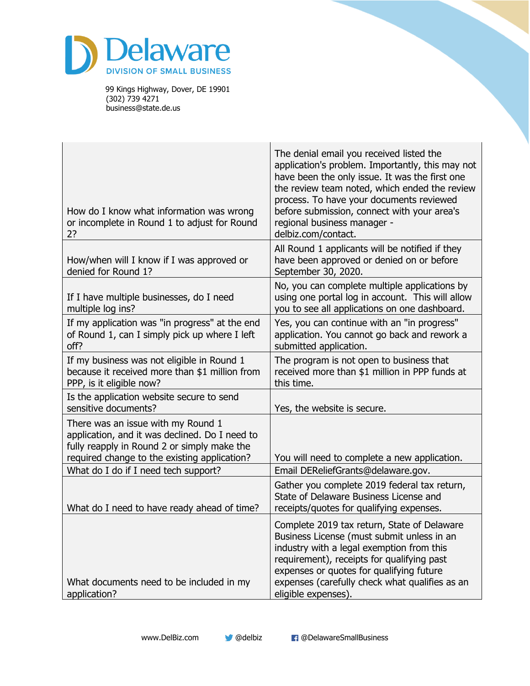

| How do I know what information was wrong<br>or incomplete in Round 1 to adjust for Round<br>2?                                                                                      | The denial email you received listed the<br>application's problem. Importantly, this may not<br>have been the only issue. It was the first one<br>the review team noted, which ended the review<br>process. To have your documents reviewed<br>before submission, connect with your area's<br>regional business manager -<br>delbiz.com/contact. |
|-------------------------------------------------------------------------------------------------------------------------------------------------------------------------------------|--------------------------------------------------------------------------------------------------------------------------------------------------------------------------------------------------------------------------------------------------------------------------------------------------------------------------------------------------|
| How/when will I know if I was approved or<br>denied for Round 1?                                                                                                                    | All Round 1 applicants will be notified if they<br>have been approved or denied on or before<br>September 30, 2020.                                                                                                                                                                                                                              |
| If I have multiple businesses, do I need<br>multiple log ins?                                                                                                                       | No, you can complete multiple applications by<br>using one portal log in account. This will allow<br>you to see all applications on one dashboard.                                                                                                                                                                                               |
| If my application was "in progress" at the end<br>of Round 1, can I simply pick up where I left<br>off?                                                                             | Yes, you can continue with an "in progress"<br>application. You cannot go back and rework a<br>submitted application.                                                                                                                                                                                                                            |
| If my business was not eligible in Round 1<br>because it received more than \$1 million from<br>PPP, is it eligible now?                                                            | The program is not open to business that<br>received more than \$1 million in PPP funds at<br>this time.                                                                                                                                                                                                                                         |
| Is the application website secure to send<br>sensitive documents?                                                                                                                   | Yes, the website is secure.                                                                                                                                                                                                                                                                                                                      |
| There was an issue with my Round 1<br>application, and it was declined. Do I need to<br>fully reapply in Round 2 or simply make the<br>required change to the existing application? | You will need to complete a new application.                                                                                                                                                                                                                                                                                                     |
| What do I do if I need tech support?                                                                                                                                                | Email DEReliefGrants@delaware.gov.                                                                                                                                                                                                                                                                                                               |
| What do I need to have ready ahead of time?                                                                                                                                         | Gather you complete 2019 federal tax return,<br>State of Delaware Business License and<br>receipts/quotes for qualifying expenses.                                                                                                                                                                                                               |
| What documents need to be included in my<br>application?                                                                                                                            | Complete 2019 tax return, State of Delaware<br>Business License (must submit unless in an<br>industry with a legal exemption from this<br>requirement), receipts for qualifying past<br>expenses or quotes for qualifying future<br>expenses (carefully check what qualifies as an<br>eligible expenses).                                        |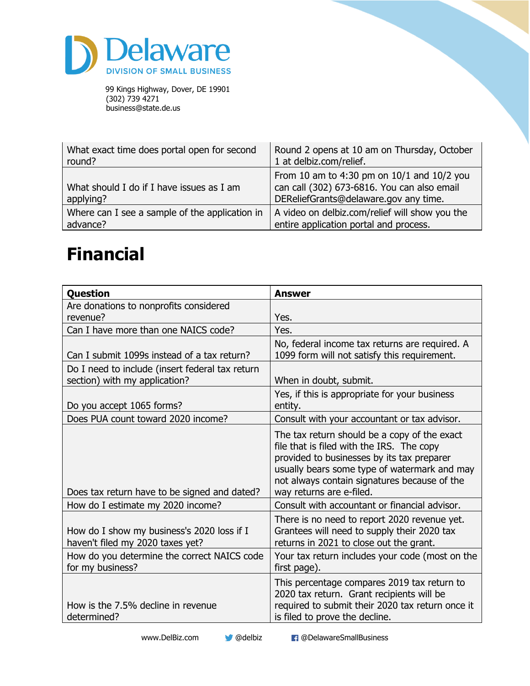

| What exact time does portal open for second            | Round 2 opens at 10 am on Thursday, October                                                                                        |
|--------------------------------------------------------|------------------------------------------------------------------------------------------------------------------------------------|
| round?                                                 | 1 at delbiz.com/relief.                                                                                                            |
| What should I do if I have issues as I am<br>applying? | From 10 am to 4:30 pm on 10/1 and 10/2 you<br>can call (302) 673-6816. You can also email<br>DEReliefGrants@delaware.gov any time. |
| Where can I see a sample of the application in         | A video on delbiz.com/relief will show you the                                                                                     |
| advance?                                               | entire application portal and process.                                                                                             |

## **Financial**

| <b>Question</b>                                                                  | <b>Answer</b>                                                                                                                                                                                                                                                       |
|----------------------------------------------------------------------------------|---------------------------------------------------------------------------------------------------------------------------------------------------------------------------------------------------------------------------------------------------------------------|
| Are donations to nonprofits considered<br>revenue?                               | Yes.                                                                                                                                                                                                                                                                |
| Can I have more than one NAICS code?                                             | Yes.                                                                                                                                                                                                                                                                |
| Can I submit 1099s instead of a tax return?                                      | No, federal income tax returns are required. A<br>1099 form will not satisfy this requirement.                                                                                                                                                                      |
| Do I need to include (insert federal tax return<br>section) with my application? | When in doubt, submit.                                                                                                                                                                                                                                              |
| Do you accept 1065 forms?                                                        | Yes, if this is appropriate for your business<br>entity.                                                                                                                                                                                                            |
| Does PUA count toward 2020 income?                                               | Consult with your accountant or tax advisor.                                                                                                                                                                                                                        |
| Does tax return have to be signed and dated?                                     | The tax return should be a copy of the exact<br>file that is filed with the IRS. The copy<br>provided to businesses by its tax preparer<br>usually bears some type of watermark and may<br>not always contain signatures because of the<br>way returns are e-filed. |
| How do I estimate my 2020 income?                                                | Consult with accountant or financial advisor.                                                                                                                                                                                                                       |
| How do I show my business's 2020 loss if I<br>haven't filed my 2020 taxes yet?   | There is no need to report 2020 revenue yet.<br>Grantees will need to supply their 2020 tax<br>returns in 2021 to close out the grant.                                                                                                                              |
| How do you determine the correct NAICS code<br>for my business?                  | Your tax return includes your code (most on the<br>first page).                                                                                                                                                                                                     |
| How is the 7.5% decline in revenue<br>determined?                                | This percentage compares 2019 tax return to<br>2020 tax return. Grant recipients will be<br>required to submit their 2020 tax return once it<br>is filed to prove the decline.                                                                                      |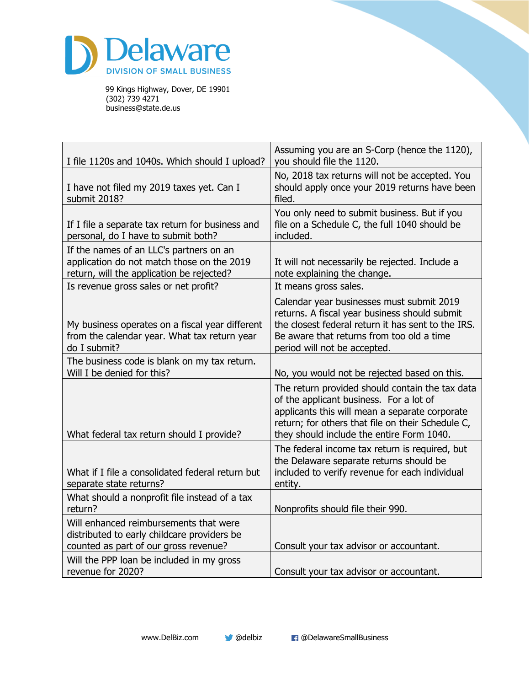

| I file 1120s and 1040s. Which should I upload?                                                                                     | Assuming you are an S-Corp (hence the 1120),<br>you should file the 1120.                                                                                                                                                                      |
|------------------------------------------------------------------------------------------------------------------------------------|------------------------------------------------------------------------------------------------------------------------------------------------------------------------------------------------------------------------------------------------|
| I have not filed my 2019 taxes yet. Can I<br>submit 2018?                                                                          | No, 2018 tax returns will not be accepted. You<br>should apply once your 2019 returns have been<br>filed.                                                                                                                                      |
| If I file a separate tax return for business and<br>personal, do I have to submit both?                                            | You only need to submit business. But if you<br>file on a Schedule C, the full 1040 should be<br>included.                                                                                                                                     |
| If the names of an LLC's partners on an<br>application do not match those on the 2019<br>return, will the application be rejected? | It will not necessarily be rejected. Include a<br>note explaining the change.                                                                                                                                                                  |
| Is revenue gross sales or net profit?                                                                                              | It means gross sales.                                                                                                                                                                                                                          |
| My business operates on a fiscal year different<br>from the calendar year. What tax return year<br>do I submit?                    | Calendar year businesses must submit 2019<br>returns. A fiscal year business should submit<br>the closest federal return it has sent to the IRS.<br>Be aware that returns from too old a time<br>period will not be accepted.                  |
| The business code is blank on my tax return.<br>Will I be denied for this?                                                         | No, you would not be rejected based on this.                                                                                                                                                                                                   |
| What federal tax return should I provide?                                                                                          | The return provided should contain the tax data<br>of the applicant business. For a lot of<br>applicants this will mean a separate corporate<br>return; for others that file on their Schedule C,<br>they should include the entire Form 1040. |
| What if I file a consolidated federal return but<br>separate state returns?                                                        | The federal income tax return is required, but<br>the Delaware separate returns should be<br>included to verify revenue for each individual<br>entity.                                                                                         |
| What should a nonprofit file instead of a tax<br>return?                                                                           | Nonprofits should file their 990.                                                                                                                                                                                                              |
| Will enhanced reimbursements that were<br>distributed to early childcare providers be<br>counted as part of our gross revenue?     | Consult your tax advisor or accountant.                                                                                                                                                                                                        |
| Will the PPP loan be included in my gross<br>revenue for 2020?                                                                     | Consult your tax advisor or accountant.                                                                                                                                                                                                        |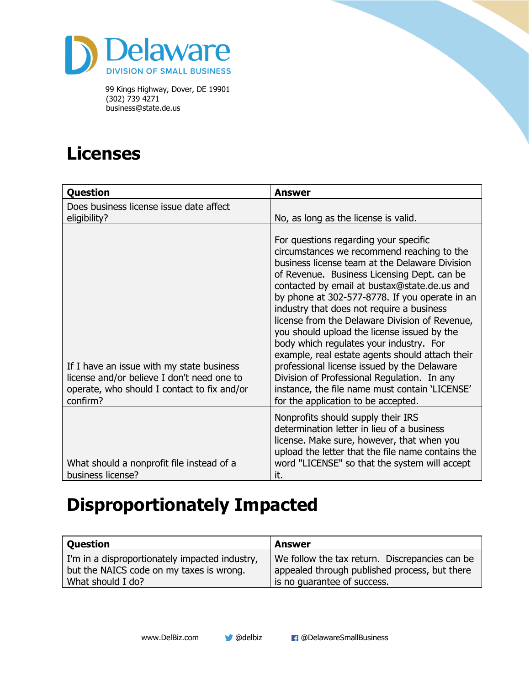

## **Licenses**

| <b>Question</b>                                                                                                                                    | <b>Answer</b>                                                                                                                                                                                                                                                                                                                                                                                                                                                                                                                                                                                                                                                                                                             |
|----------------------------------------------------------------------------------------------------------------------------------------------------|---------------------------------------------------------------------------------------------------------------------------------------------------------------------------------------------------------------------------------------------------------------------------------------------------------------------------------------------------------------------------------------------------------------------------------------------------------------------------------------------------------------------------------------------------------------------------------------------------------------------------------------------------------------------------------------------------------------------------|
| Does business license issue date affect<br>eligibility?                                                                                            | No, as long as the license is valid.                                                                                                                                                                                                                                                                                                                                                                                                                                                                                                                                                                                                                                                                                      |
| If I have an issue with my state business<br>license and/or believe I don't need one to<br>operate, who should I contact to fix and/or<br>confirm? | For questions regarding your specific<br>circumstances we recommend reaching to the<br>business license team at the Delaware Division<br>of Revenue. Business Licensing Dept. can be<br>contacted by email at bustax@state.de.us and<br>by phone at 302-577-8778. If you operate in an<br>industry that does not require a business<br>license from the Delaware Division of Revenue,<br>you should upload the license issued by the<br>body which regulates your industry. For<br>example, real estate agents should attach their<br>professional license issued by the Delaware<br>Division of Professional Regulation. In any<br>instance, the file name must contain 'LICENSE'<br>for the application to be accepted. |
| What should a nonprofit file instead of a<br>business license?                                                                                     | Nonprofits should supply their IRS<br>determination letter in lieu of a business<br>license. Make sure, however, that when you<br>upload the letter that the file name contains the<br>word "LICENSE" so that the system will accept<br>it.                                                                                                                                                                                                                                                                                                                                                                                                                                                                               |

## **Disproportionately Impacted**

| <b>Question</b>                                                                            | Answer                                                                                          |
|--------------------------------------------------------------------------------------------|-------------------------------------------------------------------------------------------------|
| I'm in a disproportionately impacted industry,<br>but the NAICS code on my taxes is wrong. | We follow the tax return. Discrepancies can be<br>appealed through published process, but there |
| What should I do?                                                                          | is no guarantee of success.                                                                     |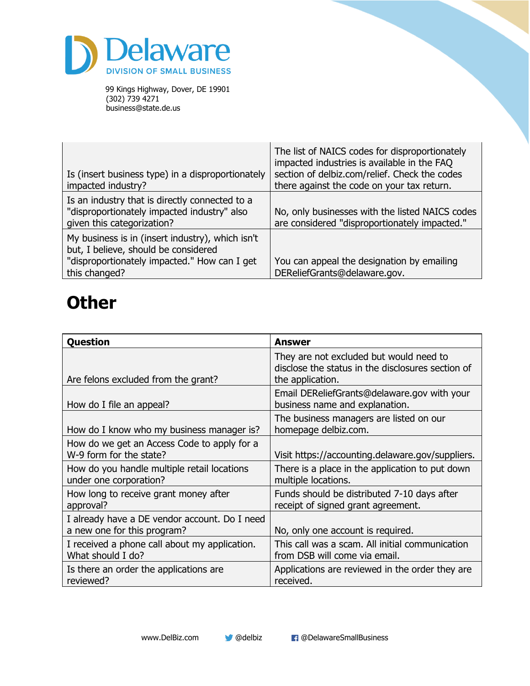

| Is (insert business type) in a disproportionately<br>impacted industry?                                                                                   | The list of NAICS codes for disproportionately<br>impacted industries is available in the FAQ<br>section of delbiz.com/relief. Check the codes<br>there against the code on your tax return. |
|-----------------------------------------------------------------------------------------------------------------------------------------------------------|----------------------------------------------------------------------------------------------------------------------------------------------------------------------------------------------|
| Is an industry that is directly connected to a<br>"disproportionately impacted industry" also<br>given this categorization?                               | No, only businesses with the listed NAICS codes<br>are considered "disproportionately impacted."                                                                                             |
| My business is in (insert industry), which isn't<br>but, I believe, should be considered<br>"disproportionately impacted." How can I get<br>this changed? | You can appeal the designation by emailing<br>DEReliefGrants@delaware.gov.                                                                                                                   |

#### **Other**

| Question                                                                     | <b>Answer</b>                                                                                                    |
|------------------------------------------------------------------------------|------------------------------------------------------------------------------------------------------------------|
| Are felons excluded from the grant?                                          | They are not excluded but would need to<br>disclose the status in the disclosures section of<br>the application. |
| How do I file an appeal?                                                     | Email DEReliefGrants@delaware.gov with your<br>business name and explanation.                                    |
| How do I know who my business manager is?                                    | The business managers are listed on our<br>homepage delbiz.com.                                                  |
| How do we get an Access Code to apply for a<br>W-9 form for the state?       | Visit https://accounting.delaware.gov/suppliers.                                                                 |
| How do you handle multiple retail locations<br>under one corporation?        | There is a place in the application to put down<br>multiple locations.                                           |
| How long to receive grant money after<br>approval?                           | Funds should be distributed 7-10 days after<br>receipt of signed grant agreement.                                |
| I already have a DE vendor account. Do I need<br>a new one for this program? | No, only one account is required.                                                                                |
| I received a phone call about my application.<br>What should I do?           | This call was a scam. All initial communication<br>from DSB will come via email.                                 |
| Is there an order the applications are<br>reviewed?                          | Applications are reviewed in the order they are<br>received.                                                     |